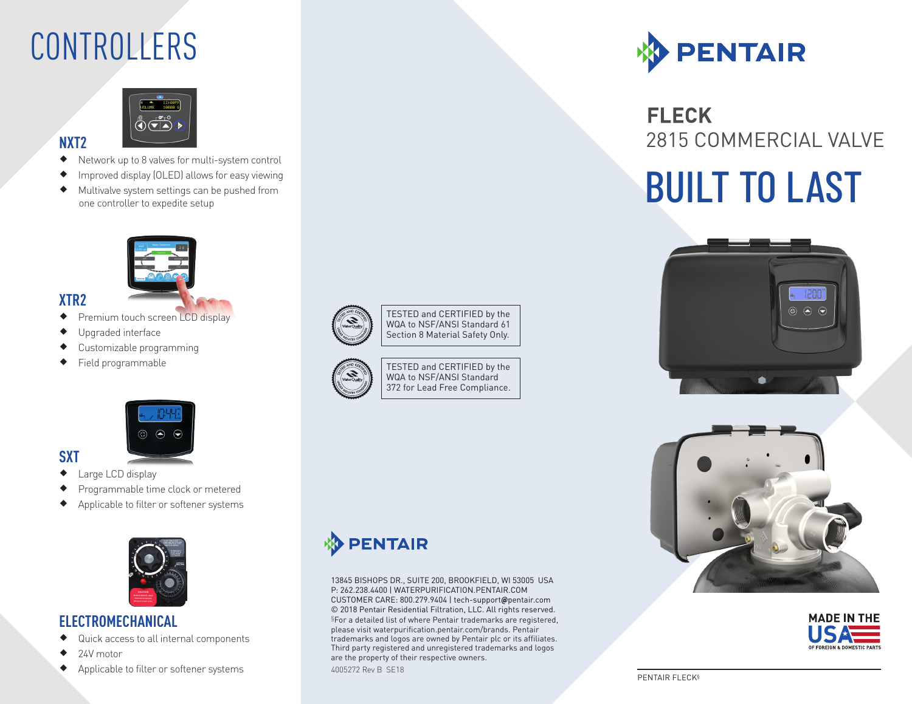### CONTROLLERS



- ® Network up to 8 valves for multi-system control
- ® Improved display (OLED) allows for easy viewing
- ® Multivalve system settings can be pushed from



### **XTR2**

**NXT2**

- ◆ Premium touch screen LCD display
- ® Upgraded interface
- ® Customizable programming
- ® Field programmable



### **SXT**

- ◆ Large LCD display
- ® Programmable time clock or metered
- ® Applicable to filter or softener systems



### **ELECTROMECHANICAL**

- ® Quick access to all internal components
- $\triangleleft$  24V motor
- Applicable to filter or softener systems



TESTED and CERTIFIED by the WQA to NSF/ANSI Standard 61 Section 8 Material Safety Only.



TESTED and CERTIFIED by the WQA to NSF/ANSI Standard 372 for Lead Free Compliance.



### **FLECK** 2815 COMMERCIAL VALVE

# Improved display (OLED) allows for easy viewing<br>
Multivalve system settings can be pushed from<br>
one controller to expedite setup







### **PENTAIR**

13845 BISHOPS DR., SUITE 200, BROOKFIELD, WI 53005 USA P: 262.238.4400 | WATERPURIFICATION.PENTAIR.COM CUSTOMER CARE: 800.279.9404 | tech-support**@**pentair.com © 2018 Pentair Residential Filtration, LLC. All rights reserved. §For a detailed list of where Pentair trademarks are registered, please visit waterpurification.pentair.com/brands. Pentair trademarks and logos are owned by Pentair plc or its affiliates. Third party registered and unregistered trademarks and logos are the property of their respective owners. 4005272 Rev B SE18

#### PENTAIR FLECK§